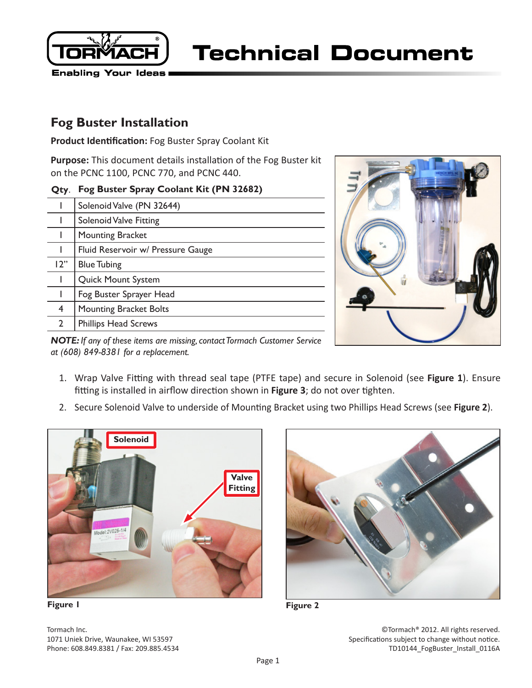

# **Fog Buster Installation**

**Product Identification:** Fog Buster Spray Coolant Kit

**Purpose:** This document details installation of the Fog Buster kit on the PCNC 1100, PCNC 770, and PCNC 440.

| Quy.                      | $198$ Duster Optay Cooland Kit (1.19.32002) |
|---------------------------|---------------------------------------------|
|                           | Solenoid Valve (PN 32644)                   |
|                           | <b>Solenoid Valve Fitting</b>               |
|                           | <b>Mounting Bracket</b>                     |
|                           | Fluid Reservoir w/ Pressure Gauge           |
| 12"                       | <b>Blue Tubing</b>                          |
|                           | <b>Quick Mount System</b>                   |
|                           | Fog Buster Sprayer Head                     |
| 4                         | Mounting Bracket Bolts                      |
| $\mathbf{2}^{\mathsf{I}}$ | <b>Phillips Head Screws</b>                 |
|                           |                                             |

#### **Fog Buster Spray Coolant Kit (PN 32682)**



*NOTE: If any of these items are missing, contact Tormach Customer Service at (608) 849-8381 for a replacement.*

- 1. Wrap Valve Fitting with thread seal tape (PTFE tape) and secure in Solenoid (see **Figure 1**). Ensure fitting is installed in airflow direction shown in **Figure 3**; do not over tighten.
- 2. Secure Solenoid Valve to underside of Mounting Bracket using two Phillips Head Screws (see **Figure 2**).





Tormach Inc. 1071 Uniek Drive, Waunakee, WI 53597 Phone: 608.849.8381 / Fax: 209.885.4534

©Tormach® 2012. All rights reserved. Specifications subject to change without notice. TD10144 FogBuster Install 0116A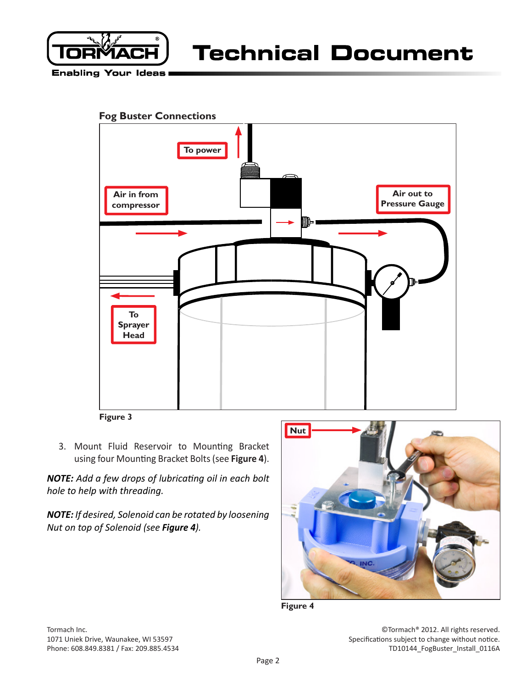

**Enabling Your Ideas** 





**Figure 3**

3. Mount Fluid Reservoir to Mounting Bracket using four Mounting Bracket Bolts (see **Figure 4**).

*NOTE: Add a few drops of lubricating oil in each bolt hole to help with threading.*

*NOTE: If desired, Solenoid can be rotated by loosening Nut on top of Solenoid (see Figure 4).*





Tormach Inc. 1071 Uniek Drive, Waunakee, WI 53597 Phone: 608.849.8381 / Fax: 209.885.4534

©Tormach® 2012. All rights reserved. Specifications subject to change without notice. TD10144 FogBuster Install 0116A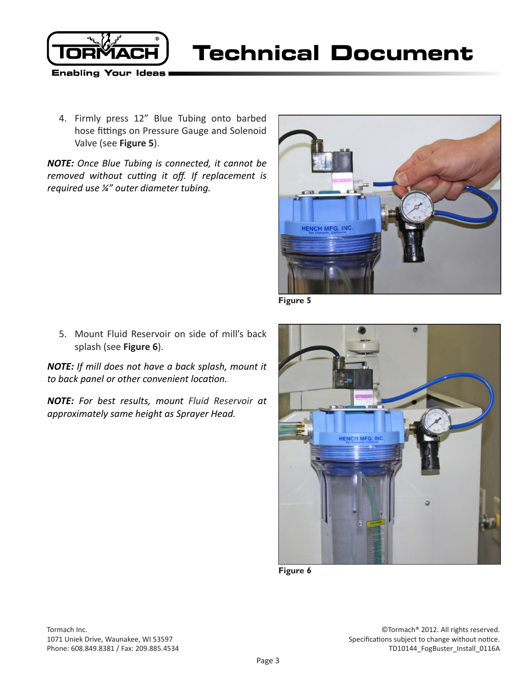

4. Firmly press 12" Blue Tubing onto barbed hose fittings on Pressure Gauge and Solenoid Valve (see **Figure 5**).

*NOTE: Once Blue Tubing is connected, it cannot be removed without cutting it off. If replacement is required use ¼" outer diameter tubing.*



**Figure 5**

5. Mount Fluid Reservoir on side of mill's back splash (see **Figure 6**).

*NOTE: If mill does not have a back splash, mount it to back panel or other convenient location.* 

*NOTE: For best results, mount Fluid Reservoir at approximately same height as Sprayer Head.*



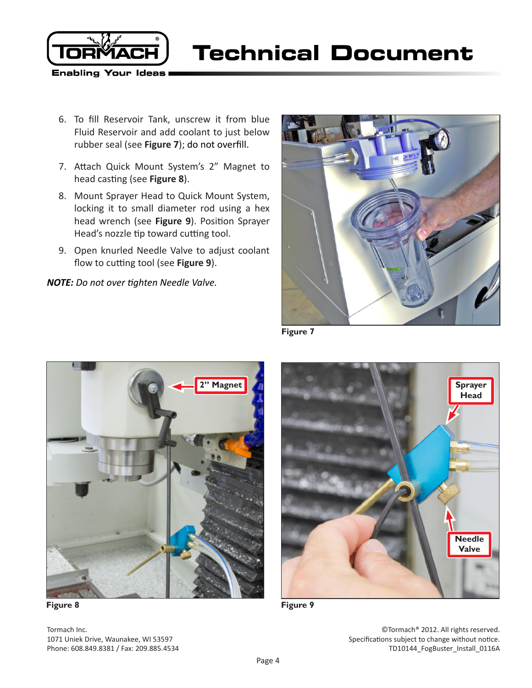

- 6. To fill Reservoir Tank, unscrew it from blue Fluid Reservoir and add coolant to just below rubber seal (see **Figure 7**); do not overfill.
- 7. Attach Quick Mount System's 2" Magnet to head casting (see **Figure 8**).
- 8. Mount Sprayer Head to Quick Mount System, locking it to small diameter rod using a hex head wrench (see **Figure 9**). Position Sprayer Head's nozzle tip toward cutting tool.
- 9. Open knurled Needle Valve to adjust coolant flow to cutting tool (see **Figure 9**).

*NOTE: Do not over tighten Needle Valve.*



**Figure 7**



**Figure 8**



**Figure 9**

Tormach Inc. 1071 Uniek Drive, Waunakee, WI 53597 Phone: 608.849.8381 / Fax: 209.885.4534